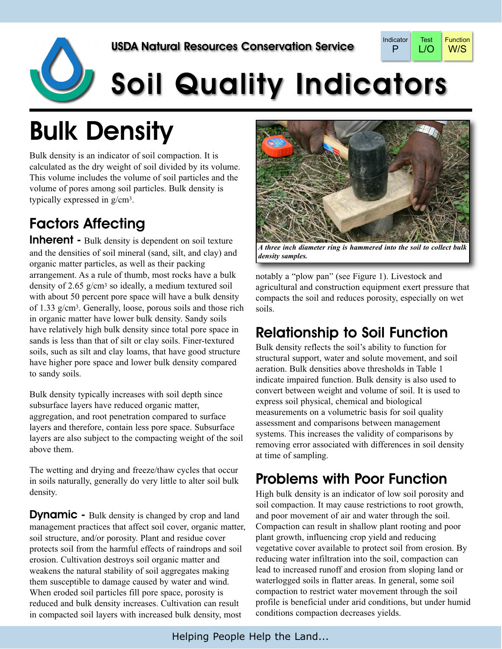

# **Soil Quality Indicators**

# Bulk Density

Bulk density is an indicator of soil compaction. It is calculated as the dry weight of soil divided by its volume. This volume includes the volume of soil particles and the volume of pores among soil particles. Bulk density is typically expressed in g/cm3.

## Factors Affecting

**Inherent** - Bulk density is dependent on soil texture and the densities of soil mineral (sand, silt, and clay) and organic matter particles, as well as their packing arrangement. As a rule of thumb, most rocks have a bulk density of 2.65 g/cm3 so ideally, a medium textured soil with about 50 percent pore space will have a bulk density of 1.33 g/cm3. Generally, loose, porous soils and those rich in organic matter have lower bulk density. Sandy soils have relatively high bulk density since total pore space in sands is less than that of silt or clay soils. Finer-textured soils, such as silt and clay loams, that have good structure have higher pore space and lower bulk density compared to sandy soils.

Bulk density typically increases with soil depth since subsurface layers have reduced organic matter, aggregation, and root penetration compared to surface layers and therefore, contain less pore space. Subsurface layers are also subject to the compacting weight of the soil above them.

The wetting and drying and freeze/thaw cycles that occur in soils naturally, generally do very little to alter soil bulk density.

**Dynamic -** Bulk density is changed by crop and land management practices that affect soil cover, organic matter, soil structure, and/or porosity. Plant and residue cover protects soil from the harmful effects of raindrops and soil erosion. Cultivation destroys soil organic matter and weakens the natural stability of soil aggregates making them susceptible to damage caused by water and wind. When eroded soil particles fill pore space, porosity is reduced and bulk density increases. Cultivation can result in compacted soil layers with increased bulk density, most



*A three inch diameter ring is hammered into the soil to collect bulk density samples.*

notably a "plow pan" (see Figure 1). Livestock and agricultural and construction equipment exert pressure that compacts the soil and reduces porosity, especially on wet soils.

### Relationship to Soil Function

Bulk density reflects the soil's ability to function for structural support, water and solute movement, and soil aeration. Bulk densities above thresholds in Table 1 indicate impaired function. Bulk density is also used to convert between weight and volume of soil. It is used to express soil physical, chemical and biological measurements on a volumetric basis for soil quality assessment and comparisons between management systems. This increases the validity of comparisons by removing error associated with differences in soil density at time of sampling.

#### Problems with Poor Function

High bulk density is an indicator of low soil porosity and soil compaction. It may cause restrictions to root growth, and poor movement of air and water through the soil. Compaction can result in shallow plant rooting and poor plant growth, influencing crop yield and reducing vegetative cover available to protect soil from erosion. By reducing water infiltration into the soil, compaction can lead to increased runoff and erosion from sloping land or waterlogged soils in flatter areas. In general, some soil compaction to restrict water movement through the soil profile is beneficial under arid conditions, but under humid conditions compaction decreases yields.